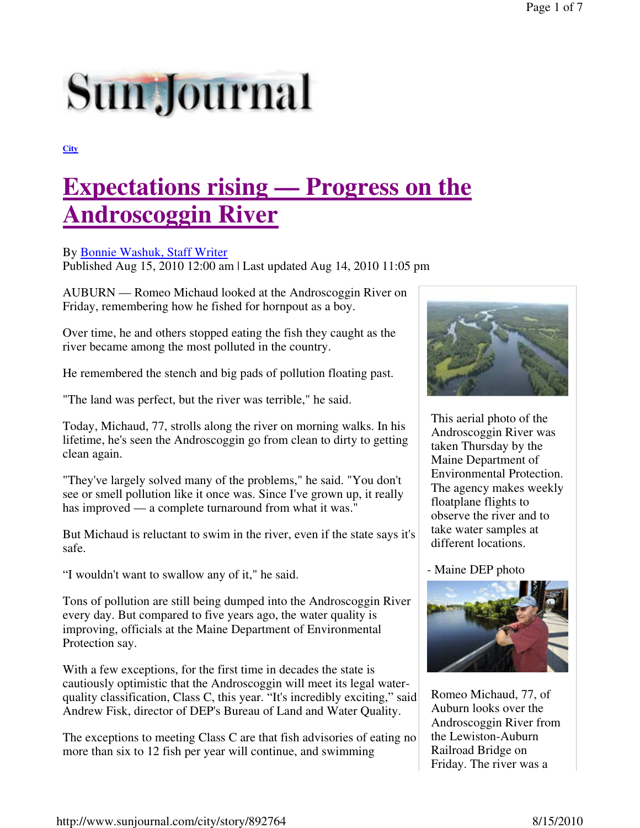# **Sun Journal**

**City**

# **Expectations rising — Progress on the Androscoggin River**

#### By Bonnie Washuk, Staff Writer

Published Aug 15, 2010 12:00 am | Last updated Aug 14, 2010 11:05 pm

AUBURN — Romeo Michaud looked at the Androscoggin River on Friday, remembering how he fished for hornpout as a boy.

Over time, he and others stopped eating the fish they caught as the river became among the most polluted in the country.

He remembered the stench and big pads of pollution floating past.

"The land was perfect, but the river was terrible," he said.

Today, Michaud, 77, strolls along the river on morning walks. In his lifetime, he's seen the Androscoggin go from clean to dirty to getting clean again.

"They've largely solved many of the problems," he said. "You don't see or smell pollution like it once was. Since I've grown up, it really has improved — a complete turnaround from what it was."

But Michaud is reluctant to swim in the river, even if the state says it's safe.

"I wouldn't want to swallow any of it," he said.

Tons of pollution are still being dumped into the Androscoggin River every day. But compared to five years ago, the water quality is improving, officials at the Maine Department of Environmental Protection say.

With a few exceptions, for the first time in decades the state is cautiously optimistic that the Androscoggin will meet its legal waterquality classification, Class C, this year. "It's incredibly exciting," said Andrew Fisk, director of DEP's Bureau of Land and Water Quality.

The exceptions to meeting Class C are that fish advisories of eating no more than six to 12 fish per year will continue, and swimming



This aerial photo of the Androscoggin River was taken Thursday by the Maine Department of Environmental Protection. The agency makes weekly floatplane flights to observe the river and to take water samples at different locations.

- Maine DEP photo



Romeo Michaud, 77, of Auburn looks over the Androscoggin River from the Lewiston-Auburn Railroad Bridge on Friday. The river was a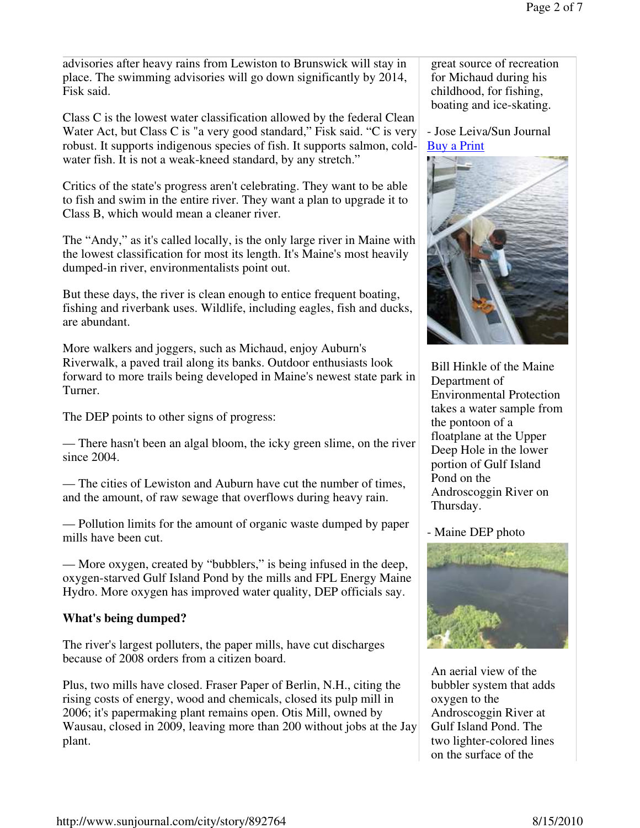advisories after heavy rains from Lewiston to Brunswick will stay in place. The swimming advisories will go down significantly by 2014, Fisk said.

Class C is the lowest water classification allowed by the federal Clean Water Act, but Class C is "a very good standard," Fisk said. "C is very robust. It supports indigenous species of fish. It supports salmon, coldwater fish. It is not a weak-kneed standard, by any stretch."

Critics of the state's progress aren't celebrating. They want to be able to fish and swim in the entire river. They want a plan to upgrade it to Class B, which would mean a cleaner river.

The "Andy," as it's called locally, is the only large river in Maine with the lowest classification for most its length. It's Maine's most heavily dumped-in river, environmentalists point out.

But these days, the river is clean enough to entice frequent boating, fishing and riverbank uses. Wildlife, including eagles, fish and ducks, are abundant.

More walkers and joggers, such as Michaud, enjoy Auburn's Riverwalk, a paved trail along its banks. Outdoor enthusiasts look forward to more trails being developed in Maine's newest state park in Turner.

The DEP points to other signs of progress:

— There hasn't been an algal bloom, the icky green slime, on the river since 2004.

— The cities of Lewiston and Auburn have cut the number of times, and the amount, of raw sewage that overflows during heavy rain.

— Pollution limits for the amount of organic waste dumped by paper mills have been cut.

— More oxygen, created by "bubblers," is being infused in the deep, oxygen-starved Gulf Island Pond by the mills and FPL Energy Maine Hydro. More oxygen has improved water quality, DEP officials say.

#### **What's being dumped?**

The river's largest polluters, the paper mills, have cut discharges because of 2008 orders from a citizen board.

Plus, two mills have closed. Fraser Paper of Berlin, N.H., citing the rising costs of energy, wood and chemicals, closed its pulp mill in 2006; it's papermaking plant remains open. Otis Mill, owned by Wausau, closed in 2009, leaving more than 200 without jobs at the Jay plant.

great source of recreation for Michaud during his childhood, for fishing, boating and ice-skating.

- Jose Leiva/Sun Journal Buy a Print



Bill Hinkle of the Maine Department of Environmental Protection takes a water sample from the pontoon of a floatplane at the Upper Deep Hole in the lower portion of Gulf Island Pond on the Androscoggin River on Thursday.

#### - Maine DEP photo



An aerial view of the bubbler system that adds oxygen to the Androscoggin River at Gulf Island Pond. The two lighter-colored lines on the surface of the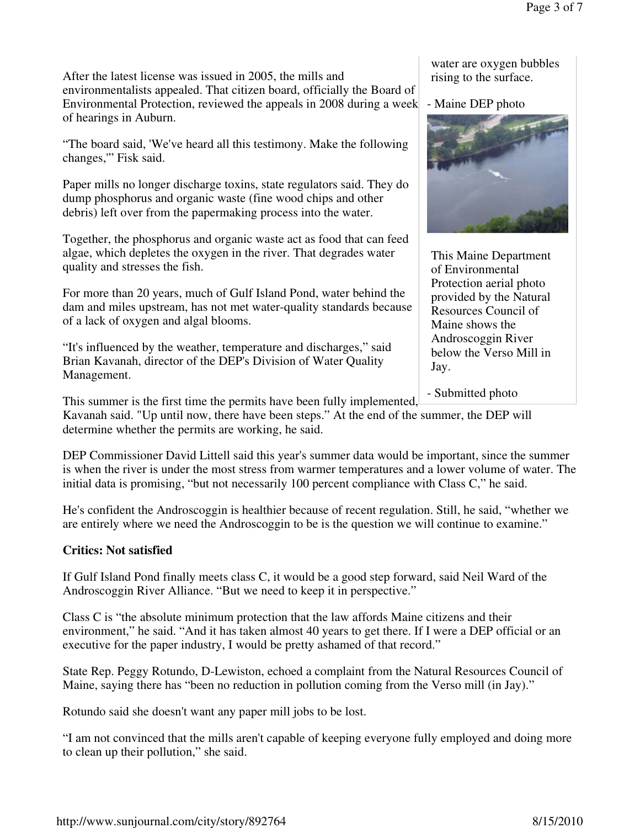After the latest license was issued in 2005, the mills and environmentalists appealed. That citizen board, officially the Board of Environmental Protection, reviewed the appeals in 2008 during a week of hearings in Auburn.

"The board said, 'We've heard all this testimony. Make the following changes,'" Fisk said.

Paper mills no longer discharge toxins, state regulators said. They do dump phosphorus and organic waste (fine wood chips and other debris) left over from the papermaking process into the water.

Together, the phosphorus and organic waste act as food that can feed algae, which depletes the oxygen in the river. That degrades water quality and stresses the fish.

For more than 20 years, much of Gulf Island Pond, water behind the dam and miles upstream, has not met water-quality standards because of a lack of oxygen and algal blooms.

"It's influenced by the weather, temperature and discharges," said Brian Kavanah, director of the DEP's Division of Water Quality Management.

water are oxygen bubbles rising to the surface.

- Maine DEP photo



This Maine Department of Environmental Protection aerial photo provided by the Natural Resources Council of Maine shows the Androscoggin River below the Verso Mill in Jay.

- Submitted photo

This summer is the first time the permits have been fully implemented,

Kavanah said. "Up until now, there have been steps." At the end of the summer, the DEP will determine whether the permits are working, he said.

DEP Commissioner David Littell said this year's summer data would be important, since the summer is when the river is under the most stress from warmer temperatures and a lower volume of water. The initial data is promising, "but not necessarily 100 percent compliance with Class C," he said.

He's confident the Androscoggin is healthier because of recent regulation. Still, he said, "whether we are entirely where we need the Androscoggin to be is the question we will continue to examine."

#### **Critics: Not satisfied**

If Gulf Island Pond finally meets class C, it would be a good step forward, said Neil Ward of the Androscoggin River Alliance. "But we need to keep it in perspective."

Class C is "the absolute minimum protection that the law affords Maine citizens and their environment," he said. "And it has taken almost 40 years to get there. If I were a DEP official or an executive for the paper industry, I would be pretty ashamed of that record."

State Rep. Peggy Rotundo, D-Lewiston, echoed a complaint from the Natural Resources Council of Maine, saying there has "been no reduction in pollution coming from the Verso mill (in Jay)."

Rotundo said she doesn't want any paper mill jobs to be lost.

"I am not convinced that the mills aren't capable of keeping everyone fully employed and doing more to clean up their pollution," she said.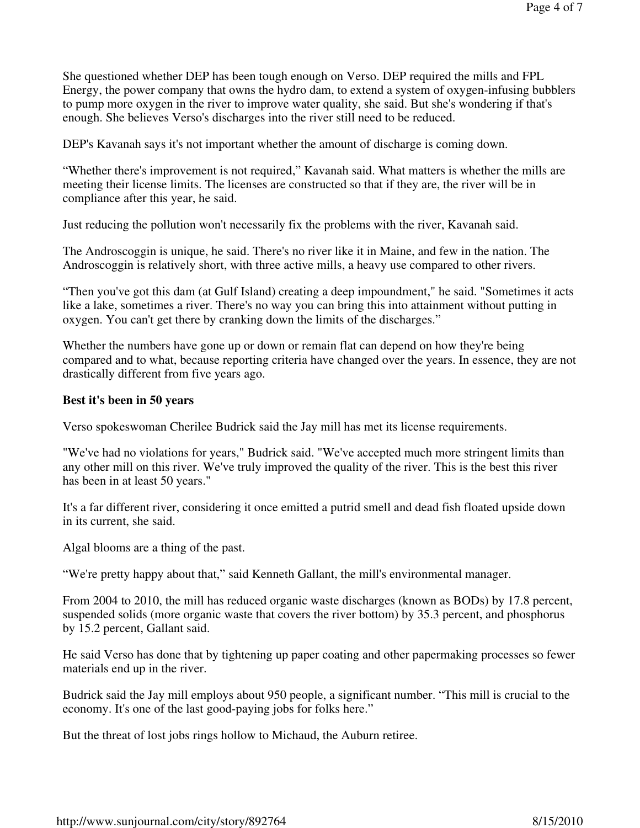She questioned whether DEP has been tough enough on Verso. DEP required the mills and FPL Energy, the power company that owns the hydro dam, to extend a system of oxygen-infusing bubblers to pump more oxygen in the river to improve water quality, she said. But she's wondering if that's enough. She believes Verso's discharges into the river still need to be reduced.

DEP's Kavanah says it's not important whether the amount of discharge is coming down.

"Whether there's improvement is not required," Kavanah said. What matters is whether the mills are meeting their license limits. The licenses are constructed so that if they are, the river will be in compliance after this year, he said.

Just reducing the pollution won't necessarily fix the problems with the river, Kavanah said.

The Androscoggin is unique, he said. There's no river like it in Maine, and few in the nation. The Androscoggin is relatively short, with three active mills, a heavy use compared to other rivers.

"Then you've got this dam (at Gulf Island) creating a deep impoundment," he said. "Sometimes it acts like a lake, sometimes a river. There's no way you can bring this into attainment without putting in oxygen. You can't get there by cranking down the limits of the discharges."

Whether the numbers have gone up or down or remain flat can depend on how they're being compared and to what, because reporting criteria have changed over the years. In essence, they are not drastically different from five years ago.

#### **Best it's been in 50 years**

Verso spokeswoman Cherilee Budrick said the Jay mill has met its license requirements.

"We've had no violations for years," Budrick said. "We've accepted much more stringent limits than any other mill on this river. We've truly improved the quality of the river. This is the best this river has been in at least 50 years."

It's a far different river, considering it once emitted a putrid smell and dead fish floated upside down in its current, she said.

Algal blooms are a thing of the past.

"We're pretty happy about that," said Kenneth Gallant, the mill's environmental manager.

From 2004 to 2010, the mill has reduced organic waste discharges (known as BODs) by 17.8 percent, suspended solids (more organic waste that covers the river bottom) by 35.3 percent, and phosphorus by 15.2 percent, Gallant said.

He said Verso has done that by tightening up paper coating and other papermaking processes so fewer materials end up in the river.

Budrick said the Jay mill employs about 950 people, a significant number. "This mill is crucial to the economy. It's one of the last good-paying jobs for folks here."

But the threat of lost jobs rings hollow to Michaud, the Auburn retiree.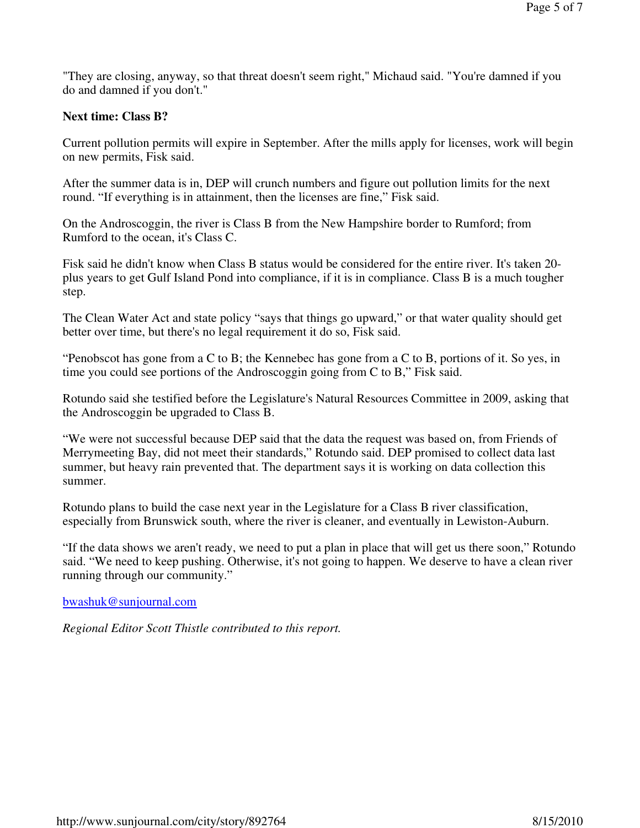"They are closing, anyway, so that threat doesn't seem right," Michaud said. "You're damned if you do and damned if you don't."

#### **Next time: Class B?**

Current pollution permits will expire in September. After the mills apply for licenses, work will begin on new permits, Fisk said.

After the summer data is in, DEP will crunch numbers and figure out pollution limits for the next round. "If everything is in attainment, then the licenses are fine," Fisk said.

On the Androscoggin, the river is Class B from the New Hampshire border to Rumford; from Rumford to the ocean, it's Class C.

Fisk said he didn't know when Class B status would be considered for the entire river. It's taken 20 plus years to get Gulf Island Pond into compliance, if it is in compliance. Class B is a much tougher step.

The Clean Water Act and state policy "says that things go upward," or that water quality should get better over time, but there's no legal requirement it do so, Fisk said.

"Penobscot has gone from a C to B; the Kennebec has gone from a C to B, portions of it. So yes, in time you could see portions of the Androscoggin going from C to B," Fisk said.

Rotundo said she testified before the Legislature's Natural Resources Committee in 2009, asking that the Androscoggin be upgraded to Class B.

"We were not successful because DEP said that the data the request was based on, from Friends of Merrymeeting Bay, did not meet their standards," Rotundo said. DEP promised to collect data last summer, but heavy rain prevented that. The department says it is working on data collection this summer.

Rotundo plans to build the case next year in the Legislature for a Class B river classification, especially from Brunswick south, where the river is cleaner, and eventually in Lewiston-Auburn.

"If the data shows we aren't ready, we need to put a plan in place that will get us there soon," Rotundo said. "We need to keep pushing. Otherwise, it's not going to happen. We deserve to have a clean river running through our community."

bwashuk@sunjournal.com

*Regional Editor Scott Thistle contributed to this report.*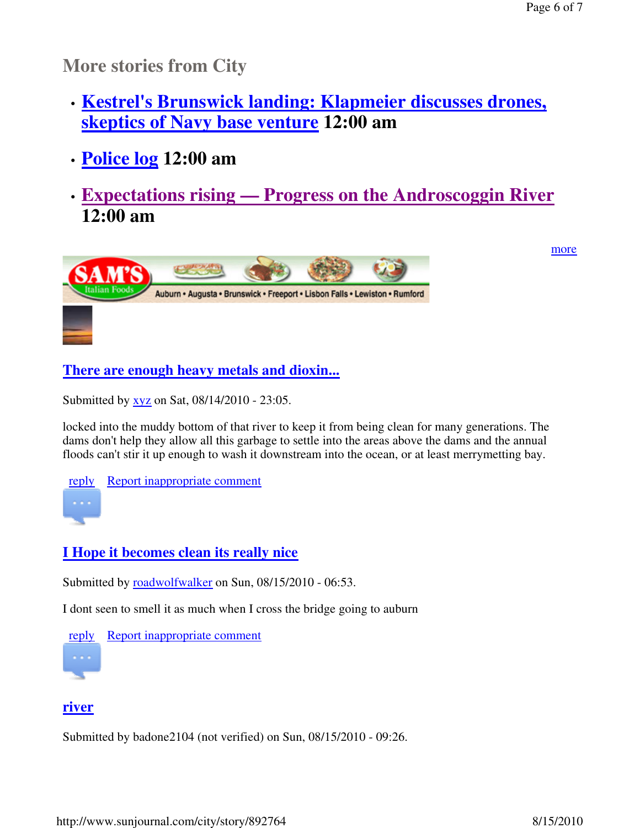**More stories from City**

- **Kestrel's Brunswick landing: Klapmeier discusses drones, skeptics of Navy base venture 12:00 am**
- **Police log 12:00 am**
- **Expectations rising — Progress on the Androscoggin River 12:00 am**



more

**There are enough heavy metals and dioxin...**

Submitted by <u>xyz</u> on Sat, 08/14/2010 - 23:05.

locked into the muddy bottom of that river to keep it from being clean for many generations. The dams don't help they allow all this garbage to settle into the areas above the dams and the annual floods can't stir it up enough to wash it downstream into the ocean, or at least merrymetting bay.

reply Report inappropriate comment

# **I Hope it becomes clean its really nice**

Submitted by roadwolfwalker on Sun, 08/15/2010 - 06:53.

I dont seen to smell it as much when I cross the bridge going to auburn



## **river**

Submitted by badone2104 (not verified) on Sun, 08/15/2010 - 09:26.